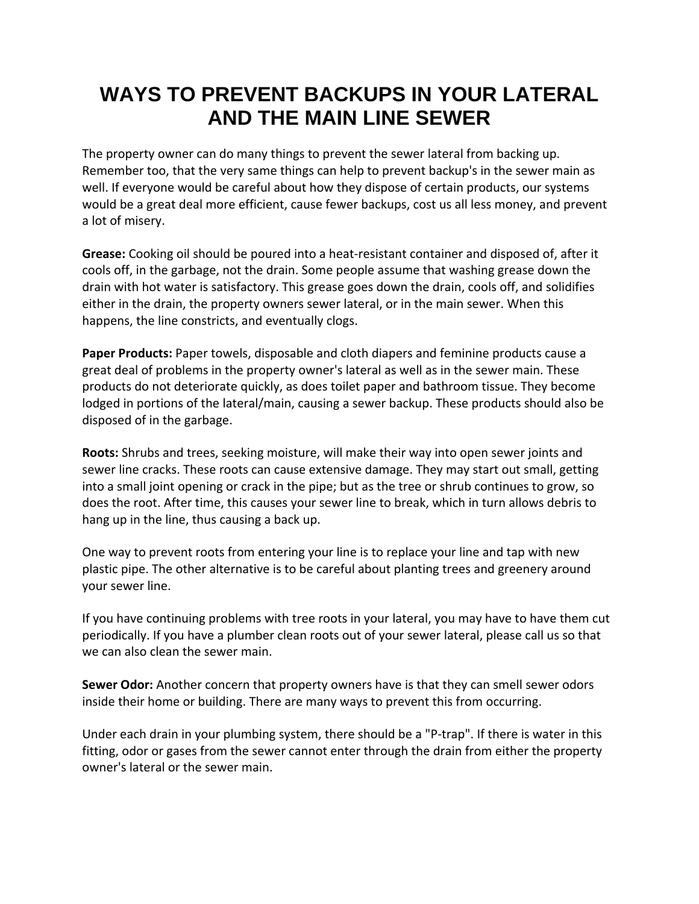## **WAYS TO PREVENT BACKUPS IN YOUR LATERAL AND THE MAIN LINE SEWER**

The property owner can do many things to prevent the sewer lateral from backing up. Remember too, that the very same things can help to prevent backup's in the sewer main as well. If everyone would be careful about how they dispose of certain products, our systems would be a great deal more efficient, cause fewer backups, cost us all less money, and prevent a lot of misery.

**Grease:** Cooking oil should be poured into a heat‐resistant container and disposed of, after it cools off, in the garbage, not the drain. Some people assume that washing grease down the drain with hot water is satisfactory. This grease goes down the drain, cools off, and solidifies either in the drain, the property owners sewer lateral, or in the main sewer. When this happens, the line constricts, and eventually clogs.

**Paper Products:** Paper towels, disposable and cloth diapers and feminine products cause a great deal of problems in the property owner's lateral as well as in the sewer main. These products do not deteriorate quickly, as does toilet paper and bathroom tissue. They become lodged in portions of the lateral/main, causing a sewer backup. These products should also be disposed of in the garbage.

**Roots:** Shrubs and trees, seeking moisture, will make their way into open sewer joints and sewer line cracks. These roots can cause extensive damage. They may start out small, getting into a small joint opening or crack in the pipe; but as the tree or shrub continues to grow, so does the root. After time, this causes your sewer line to break, which in turn allows debris to hang up in the line, thus causing a back up.

One way to prevent roots from entering your line is to replace your line and tap with new plastic pipe. The other alternative is to be careful about planting trees and greenery around your sewer line.

If you have continuing problems with tree roots in your lateral, you may have to have them cut periodically. If you have a plumber clean roots out of your sewer lateral, please call us so that we can also clean the sewer main.

**Sewer Odor:** Another concern that property owners have is that they can smell sewer odors inside their home or building. There are many ways to prevent this from occurring.

Under each drain in your plumbing system, there should be a "P‐trap". If there is water in this fitting, odor or gases from the sewer cannot enter through the drain from either the property owner's lateral or the sewer main.